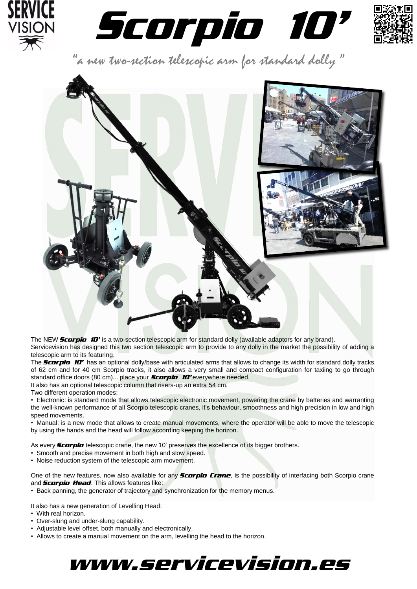





"a new two-section telescopic arm for standard dolly "



The NEW *Scorpio 10'* is a two-section telescopic arm for standard dolly (available adaptors for any brand). Servicevision has designed this two section telescopic arm to provide to any dolly in the market the possibility of adding a telescopic arm to its featuring.

The **Scorpio** 10<sup>*'*</sup> has an optional dolly/base with articulated arms that allows to change its width for standard dolly tracks of 62 cm and for 40 cm Scorpio tracks, it also allows a very small and compact configuration for taxiing to go through standard office doors (80 cm)... place your *Scorpio <sup>10</sup>'* everywhere needed.

It also has an optional telescopic column that risers-up an extra 54 cm.

Two different operation modes:

• Electronic: is standard mode that allows telescopic electronic movement, powering the crane by batteries and warranting the well-known performance of all Scorpio telescopic cranes, it's behaviour, smoothness and high precision in low and high speed movements.

• Manual: is a new mode that allows to create manual movements, where the operator will be able to move the telescopic by using the hands and the head will follow according keeping the horizon.

As every **Scorpio** telescopic crane, the new 10' preserves the excellence of its bigger brothers.

- Smooth and precise movement in both high and slow speed.
- Noise reduction system of the telescopic arm movement.

One of the new features, now also available for any *Scorpio Crane*, is the possibility of interfacing both Scorpio crane and *Scorpio Head*. This allows features like:

• Back panning, the generator of trajectory and synchronization for the memory menus.

It also has a new generation of Levelling Head:

- With real horizon.
- Over-slung and under-slung capability.
- Adjustable level offset, both manually and electronically.
- Allows to create a manual movement on the arm, levelling the head to the horizon.

## www.servicevision.es